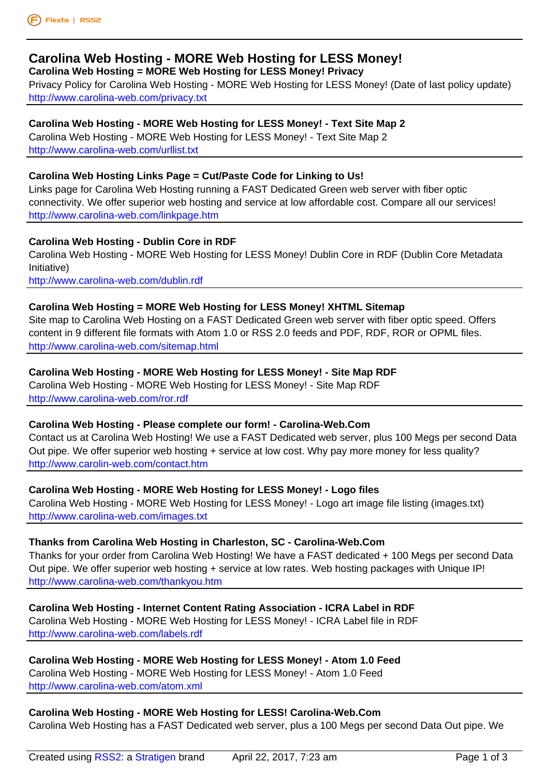# **[Carolina Web](www.flexta.co.uk) Hosting - MORE Web Hos[ti](www.flexta.co.uk)ng for LESS Money!**

**Carolina Web Hosting = MORE Web Hosting for LESS Money! Privacy**

Privacy Policy for Carolina Web Hosting - MORE Web Hosting for LESS Money! (Date of last policy update) [http://www.carolina-web.com/privacy.txt](http://www.carolina-web.com/)

#### **[Carolina Web Hosting - MORE Web Hosting for LESS Money! - Text Si](http://www.carolina-web.com/privacy.txt)te Map 2**

Carolina Web Hosting - MORE Web Hosting for LESS Money! - Text Site Map 2 [http://www.carolina-web.com/urllist.txt](http://www.carolina-web.com/privacy.txt)

#### **[Carolina Web Hosting Links Page = Cut/Paste Code for Linking to Us!](http://www.carolina-web.com/urllist.txt)**

Links page for Carolina Web Hosting running a FAST Dedicated Green web server with fiber optic [connectivity. We offer superior web ho](http://www.carolina-web.com/urllist.txt)sting and service at low affordable cost. Compare all our services! <http://www.carolina-web.com/linkpage.htm>

#### **Carolina Web Hosting - Dublin Core in RDF**

[Carolina Web Hosting - MORE Web Hostin](http://www.carolina-web.com/linkpage.htm)g for LESS Money! Dublin Core in RDF (Dublin Core Metadata Initiative)

<http://www.carolina-web.com/dublin.rdf>

#### **Carolina Web Hosting = MORE Web Hosting for LESS Money! XHTML Sitemap**

Site map to Carolina Web Hosting on a FAST Dedicated Green web server with fiber optic speed. Offers [content in 9 different file formats with A](http://www.carolina-web.com/dublin.rdf)tom 1.0 or RSS 2.0 feeds and PDF, RDF, ROR or OPML files. <http://www.carolina-web.com/sitemap.html>

#### **Carolina Web Hosting - MORE Web Hosting for LESS Money! - Site Map RDF**

[Carolina Web Hosting - MORE Web Hostin](http://www.carolina-web.com/sitemap.html)g for LESS Money! - Site Map RDF http://www.carolina-web.com/ror.rdf

#### **[Carolina Web Hosting - Please complete our form! - Carolina-Web.Com](http://www.carolina-web.com/ror.rdf)**

Contact us at Carolina Web Hosting! We use a FAST Dedicated web server, plus 100 Megs per second Data [Out pipe. We offer superior web hos](http://www.carolina-web.com/ror.rdf)ting + service at low cost. Why pay more money for less quality? <http://www.carolin-web.com/contact.htm>

#### **Carolina Web Hosting - MORE Web Hosting for LESS Money! - Logo files**

Carolina Web Hosting - MORE Web Hosting for LESS Money! - Logo art image file listing (images.txt) [http://www.carolina-web.com/images.txt](http://www.carolin-web.com/contact.htm)

#### **[Thanks from Carolina Web Hosting in Charleston, SC - Carolina-Web.Com](http://www.carolina-web.com/images.txt)**

Thanks for your order from Carolina Web Hosting! We have a FAST dedicated + 100 Megs per second Data [Out pipe. We offer superior web hosting](http://www.carolina-web.com/images.txt) + service at low rates. Web hosting packages with Unique IP! <http://www.carolina-web.com/thankyou.htm>

#### **Carolina Web Hosting - Internet Content Rating Association - ICRA Label in RDF**

[Carolina Web Hosting - MORE Web Hosting](http://www.carolina-web.com/thankyou.htm) for LESS Money! - ICRA Label file in RDF http://www.carolina-web.com/labels.rdf

### **[Carolina Web Hosting - MORE Web Hosting for LESS Money! - Atom 1.0 Feed](http://www.carolina-web.com/labels.rdf)**

Carolina Web Hosting - MORE Web Hosting for LESS Money! - Atom 1.0 Feed [http://www.carolina-web.com/atom.xml](http://www.carolina-web.com/labels.rdf)

### **[Carolina Web Hosting - MORE Web Hosting for LESS! Carolina-Web.Com](http://www.carolina-web.com/atom.xml)**

[Carolina Web Hosting has a FAST Ded](http://www.carolina-web.com/atom.xml)icated web server, plus a 100 Megs per second Data Out pipe. We